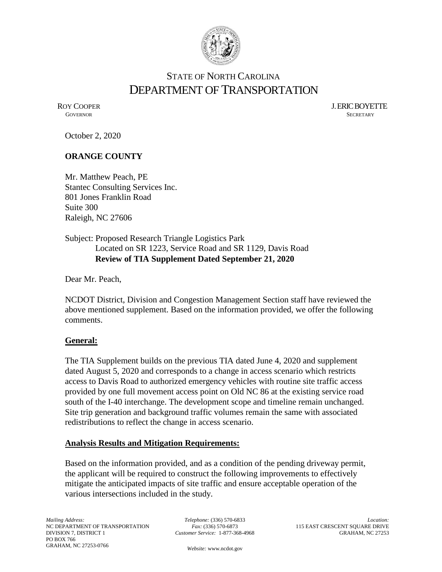

# STATE OF NORTH CAROLINA DEPARTMENT OF TRANSPORTATION

ROY COOPER J. ERIC BOYETTE GOVERNOR SECRETARY **GOVERNOR** SECRETARY

October 2, 2020

#### **ORANGE COUNTY**

Mr. Matthew Peach, PE Stantec Consulting Services Inc. 801 Jones Franklin Road Suite 300 Raleigh, NC 27606

Subject: Proposed Research Triangle Logistics Park Located on SR 1223, Service Road and SR 1129, Davis Road **Review of TIA Supplement Dated September 21, 2020**

Dear Mr. Peach,

NCDOT District, Division and Congestion Management Section staff have reviewed the above mentioned supplement. Based on the information provided, we offer the following comments.

#### **General:**

The TIA Supplement builds on the previous TIA dated June 4, 2020 and supplement dated August 5, 2020 and corresponds to a change in access scenario which restricts access to Davis Road to authorized emergency vehicles with routine site traffic access provided by one full movement access point on Old NC 86 at the existing service road south of the I-40 interchange. The development scope and timeline remain unchanged. Site trip generation and background traffic volumes remain the same with associated redistributions to reflect the change in access scenario.

#### **Analysis Results and Mitigation Requirements:**

Based on the information provided, and as a condition of the pending driveway permit, the applicant will be required to construct the following improvements to effectively mitigate the anticipated impacts of site traffic and ensure acceptable operation of the various intersections included in the study.

*Telephone:* (336) 570-6833 *Fax:* (336) 570-6873 *Customer Service:* 1-877-368-4968

*Location:* 115 EAST CRESCENT SQUARE DRIVE GRAHAM, NC 27253

*Website:* [www.ncdot.gov](http://www.ncdot.gov/)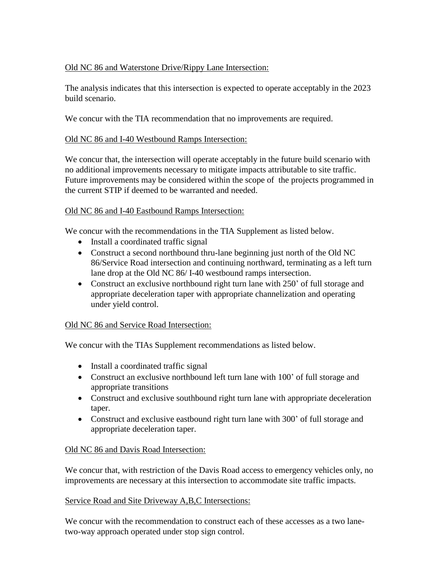# Old NC 86 and Waterstone Drive/Rippy Lane Intersection:

The analysis indicates that this intersection is expected to operate acceptably in the 2023 build scenario.

We concur with the TIA recommendation that no improvements are required.

# Old NC 86 and I-40 Westbound Ramps Intersection:

We concur that, the intersection will operate acceptably in the future build scenario with no additional improvements necessary to mitigate impacts attributable to site traffic. Future improvements may be considered within the scope of the projects programmed in the current STIP if deemed to be warranted and needed.

# Old NC 86 and I-40 Eastbound Ramps Intersection:

We concur with the recommendations in the TIA Supplement as listed below.

- Install a coordinated traffic signal
- Construct a second northbound thru-lane beginning just north of the Old NC 86/Service Road intersection and continuing northward, terminating as a left turn lane drop at the Old NC 86/ I-40 westbound ramps intersection.
- Construct an exclusive northbound right turn lane with 250' of full storage and appropriate deceleration taper with appropriate channelization and operating under yield control.

## Old NC 86 and Service Road Intersection:

We concur with the TIAs Supplement recommendations as listed below.

- Install a coordinated traffic signal
- Construct an exclusive northbound left turn lane with 100' of full storage and appropriate transitions
- Construct and exclusive southbound right turn lane with appropriate deceleration taper.
- Construct and exclusive eastbound right turn lane with 300' of full storage and appropriate deceleration taper.

## Old NC 86 and Davis Road Intersection:

We concur that, with restriction of the Davis Road access to emergency vehicles only, no improvements are necessary at this intersection to accommodate site traffic impacts.

## Service Road and Site Driveway A,B,C Intersections:

We concur with the recommendation to construct each of these accesses as a two lanetwo-way approach operated under stop sign control.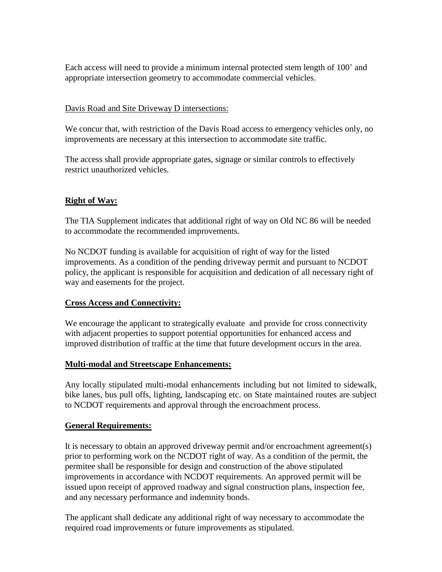Each access will need to provide a minimum internal protected stem length of 100' and appropriate intersection geometry to accommodate commercial vehicles.

#### Davis Road and Site Driveway D intersections:

We concur that, with restriction of the Davis Road access to emergency vehicles only, no improvements are necessary at this intersection to accommodate site traffic.

The access shall provide appropriate gates, signage or similar controls to effectively restrict unauthorized vehicles.

## **Right of Way:**

The TIA Supplement indicates that additional right of way on Old NC 86 will be needed to accommodate the recommended improvements.

No NCDOT funding is available for acquisition of right of way for the listed improvements. As a condition of the pending driveway permit and pursuant to NCDOT policy, the applicant is responsible for acquisition and dedication of all necessary right of way and easements for the project.

## **Cross Access and Connectivity:**

We encourage the applicant to strategically evaluate and provide for cross connectivity with adjacent properties to support potential opportunities for enhanced access and improved distribution of traffic at the time that future development occurs in the area.

## **Multi-modal and Streetscape Enhancements:**

Any locally stipulated multi-modal enhancements including but not limited to sidewalk, bike lanes, bus pull offs, lighting, landscaping etc. on State maintained routes are subject to NCDOT requirements and approval through the encroachment process.

## **General Requirements:**

It is necessary to obtain an approved driveway permit and/or encroachment agreement(s) prior to performing work on the NCDOT right of way. As a condition of the permit, the permitee shall be responsible for design and construction of the above stipulated improvements in accordance with NCDOT requirements. An approved permit will be issued upon receipt of approved roadway and signal construction plans, inspection fee, and any necessary performance and indemnity bonds.

The applicant shall dedicate any additional right of way necessary to accommodate the required road improvements or future improvements as stipulated.